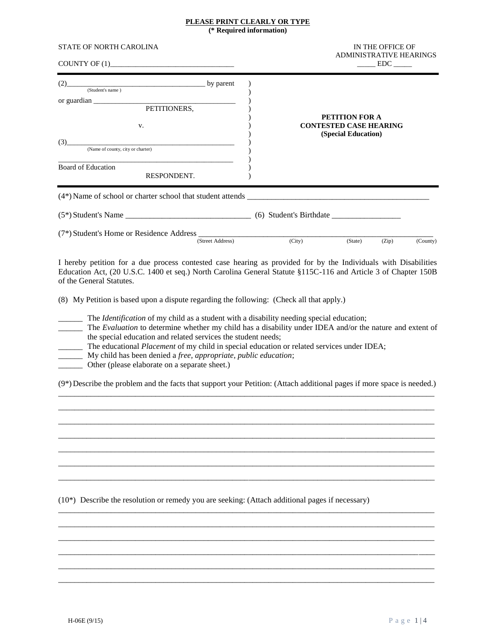#### **PLEASE PRINT CLEARLY OR TYPE (\* Required information)**

| <b>STATE OF NORTH CAROLINA</b>                                                                                                                                                                                                                                                                                                                                                                                                                                                                                                                                                                                                                                                          | IN THE OFFICE OF<br><b>ADMINISTRATIVE HEARINGS</b><br>$\rule{1em}{0.15mm} \text{EDC} \underline{\hspace{1em}}$ |  |  |  |  |
|-----------------------------------------------------------------------------------------------------------------------------------------------------------------------------------------------------------------------------------------------------------------------------------------------------------------------------------------------------------------------------------------------------------------------------------------------------------------------------------------------------------------------------------------------------------------------------------------------------------------------------------------------------------------------------------------|----------------------------------------------------------------------------------------------------------------|--|--|--|--|
| (Student's name) by parent<br>V.<br>(Name of county, city or charter)<br>(3)<br><b>Board of Education</b><br>RESPONDENT.                                                                                                                                                                                                                                                                                                                                                                                                                                                                                                                                                                | <b>PETITION FOR A</b><br><b>CONTESTED CASE HEARING</b><br>(Special Education)                                  |  |  |  |  |
| $(7*)$ Student's Home or Residence Address $\frac{\text{(Street Address)}}{\text{(Street Address)}}$ (City)                                                                                                                                                                                                                                                                                                                                                                                                                                                                                                                                                                             | (State)<br>(Zip)<br>(County)                                                                                   |  |  |  |  |
| I hereby petition for a due process contested case hearing as provided for by the Individuals with Disabilities<br>Education Act, (20 U.S.C. 1400 et seq.) North Carolina General Statute §115C-116 and Article 3 of Chapter 150B<br>of the General Statutes.<br>(8) My Petition is based upon a dispute regarding the following: (Check all that apply.)<br>The Identification of my child as a student with a disability needing special education;<br>the special education and related services the student needs;<br>The educational Placement of my child in special education or related services under IDEA;<br>My child has been denied a free, appropriate, public education; | The Evaluation to determine whether my child has a disability under IDEA and/or the nature and extent of       |  |  |  |  |
| Other (please elaborate on a separate sheet.)<br>(9*) Describe the problem and the facts that support your Petition: (Attach additional pages if more space is needed.)                                                                                                                                                                                                                                                                                                                                                                                                                                                                                                                 |                                                                                                                |  |  |  |  |

 $\_$  ,  $\_$  ,  $\_$  ,  $\_$  ,  $\_$  ,  $\_$  ,  $\_$  ,  $\_$  ,  $\_$  ,  $\_$  ,  $\_$  ,  $\_$  ,  $\_$  ,  $\_$  ,  $\_$  ,  $\_$  ,  $\_$  ,  $\_$  ,  $\_$  ,  $\_$  ,  $\_$  ,  $\_$  ,  $\_$  ,  $\_$  ,  $\_$  ,  $\_$  ,  $\_$  ,  $\_$  ,  $\_$  ,  $\_$  ,  $\_$  ,  $\_$  ,  $\_$  ,  $\_$  ,  $\_$  ,  $\_$  ,  $\_$  , \_\_\_\_\_\_\_\_\_\_\_\_\_\_\_\_\_\_\_\_\_\_\_\_\_\_\_\_\_\_\_\_\_\_\_\_\_\_\_\_\_\_\_\_\_\_\_\_\_\_\_\_\_\_\_\_\_\_\_\_\_\_\_\_\_\_\_\_\_\_\_\_\_\_\_\_\_\_\_\_\_\_\_\_\_\_\_\_\_\_\_\_\_  $\_$  ,  $\_$  ,  $\_$  ,  $\_$  ,  $\_$  ,  $\_$  ,  $\_$  ,  $\_$  ,  $\_$  ,  $\_$  ,  $\_$  ,  $\_$  ,  $\_$  ,  $\_$  ,  $\_$  ,  $\_$  ,  $\_$  ,  $\_$  ,  $\_$  ,  $\_$  ,  $\_$  ,  $\_$  ,  $\_$  ,  $\_$  ,  $\_$  ,  $\_$  ,  $\_$  ,  $\_$  ,  $\_$  ,  $\_$  ,  $\_$  ,  $\_$  ,  $\_$  ,  $\_$  ,  $\_$  ,  $\_$  ,  $\_$  ,  $\_$  ,  $\_$  ,  $\_$  ,  $\_$  ,  $\_$  ,  $\_$  ,  $\_$  ,  $\_$  ,  $\_$  ,  $\_$  ,  $\_$  ,  $\_$  ,  $\_$  ,  $\_$  ,  $\_$  ,  $\_$  ,  $\_$  ,  $\_$  ,  $\_$  ,  $\_$  ,  $\_$  ,  $\_$  ,  $\_$  ,  $\_$  ,  $\_$  ,  $\_$  ,  $\_$  ,  $\_$  ,  $\_$  ,  $\_$  ,  $\_$  ,  $\_$  ,  $\_$  ,  $\_$  ,  $\_$  ,  $\_$  ,  $\_$  ,  $\_$  ,  $\_$  ,  $\_$  ,  $\_$  ,  $\_$  ,  $\_$  ,  $\_$  ,  $\_$  ,  $\_$  ,  $\_$  ,  $\_$  ,  $\_$  ,  $\_$  ,  $\_$  ,  $\_$  ,  $\_$  ,  $\_$  ,  $\_$  ,  $\_$  ,  $\_$  ,  $\_$  ,  $\_$  ,  $\_$  ,  $\_$  ,  $\_$  ,  $\_$  ,  $\_$  ,  $\_$  ,  $\_$  ,  $\_$  ,  $\_$  ,  $\_$  ,  $\_$  ,  $\_$  ,  $\_$  ,  $\_$  ,  $\_$  ,

\_\_\_\_\_\_\_\_\_\_\_\_\_\_\_\_\_\_\_\_\_\_\_\_\_\_\_\_\_\_\_\_\_\_\_\_\_\_\_\_\_\_\_\_\_\_\_\_\_\_\_\_\_\_\_\_\_\_\_\_\_\_\_\_\_\_\_\_\_\_\_\_\_\_\_\_\_\_\_\_\_\_\_\_\_\_\_\_\_\_\_\_\_ \_\_\_\_\_\_\_\_\_\_\_\_\_\_\_\_\_\_\_\_\_\_\_\_\_\_\_\_\_\_\_\_\_\_\_\_\_\_\_\_\_\_\_\_\_\_\_\_\_\_\_\_\_\_\_\_\_\_\_\_\_\_\_\_\_\_\_\_\_\_\_\_\_\_\_\_\_\_\_\_\_\_\_\_\_\_\_\_\_\_\_\_\_ \_\_\_\_\_\_\_\_\_\_\_\_\_\_\_\_\_\_\_\_\_\_\_\_\_\_\_\_\_\_\_\_\_\_\_\_\_\_\_\_\_\_\_\_\_\_\_\_\_\_\_\_\_\_\_\_\_\_\_\_\_\_\_\_\_\_\_\_\_\_\_\_\_\_\_\_\_\_\_\_\_\_\_\_\_\_\_\_\_\_\_\_\_ \_\_\_\_\_\_\_\_\_\_\_\_\_\_\_\_\_\_\_\_\_\_\_\_\_\_\_\_\_\_\_\_\_\_\_\_\_\_\_\_\_\_\_\_\_\_\_\_\_\_\_\_\_\_\_\_\_\_\_\_\_\_\_\_\_\_\_\_\_\_\_\_\_\_\_\_\_\_\_\_\_\_\_\_\_\_\_\_\_\_\_\_\_ \_\_\_\_\_\_\_\_\_\_\_\_\_\_\_\_\_\_\_\_\_\_\_\_\_\_\_\_\_\_\_\_\_\_\_\_\_\_\_\_\_\_\_\_\_\_\_\_\_\_\_\_\_\_\_\_\_\_\_\_\_\_\_\_\_\_\_\_\_\_\_\_\_\_\_\_\_\_\_\_\_\_\_\_\_\_\_\_\_\_\_\_\_ \_\_\_\_\_\_\_\_\_\_\_\_\_\_\_\_\_\_\_\_\_\_\_\_\_\_\_\_\_\_\_\_\_\_\_\_\_\_\_\_\_\_\_\_\_\_\_\_\_\_\_\_\_\_\_\_\_\_\_\_\_\_\_\_\_\_\_\_\_\_\_\_\_\_\_\_\_\_\_\_\_\_\_\_\_\_\_\_\_\_\_\_\_

(10\*) Describe the resolution or remedy you are seeking: (Attach additional pages if necessary)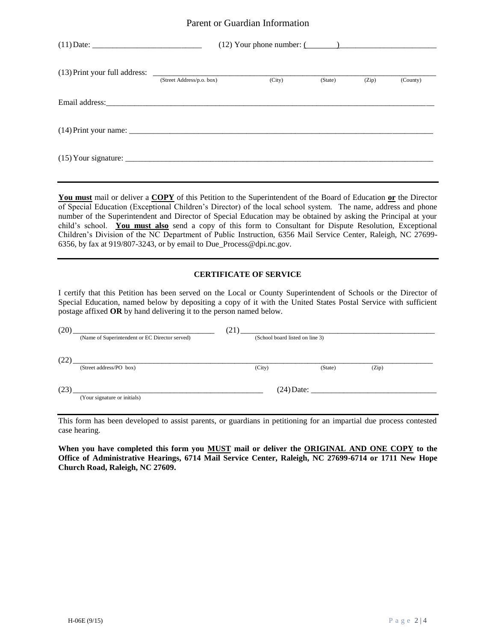### Parent or Guardian Information

|                           | $(12)$ Your phone number: $($ |         |       |          |
|---------------------------|-------------------------------|---------|-------|----------|
| (Street Address/p.o. box) | (City)                        | (State) | (Zip) | (County) |
|                           |                               |         |       |          |
|                           |                               |         |       |          |
|                           |                               |         |       |          |

**You must** mail or deliver a **COPY** of this Petition to the Superintendent of the Board of Education **or** the Director of Special Education (Exceptional Children's Director) of the local school system. The name, address and phone number of the Superintendent and Director of Special Education may be obtained by asking the Principal at your child's school. **You must also** send a copy of this form to Consultant for Dispute Resolution, Exceptional Children's Division of the NC Department of Public Instruction, 6356 Mail Service Center, Raleigh, NC 27699- 6356, by fax at 919/807-3243, or by email to Due\_Process@dpi.nc.gov.

#### **CERTIFICATE OF SERVICE**

I certify that this Petition has been served on the Local or County Superintendent of Schools or the Director of Special Education, named below by depositing a copy of it with the United States Postal Service with sufficient postage affixed **OR** by hand delivering it to the person named below.

| (20) |                                                | (21) |                                 |         |              |  |
|------|------------------------------------------------|------|---------------------------------|---------|--------------|--|
|      | (Name of Superintendent or EC Director served) |      | (School board listed on line 3) |         |              |  |
|      |                                                |      |                                 |         |              |  |
| (22  |                                                |      |                                 |         |              |  |
|      | (Street address/PO box)                        |      | (City)                          | (State) | (Zip)        |  |
|      |                                                |      |                                 |         |              |  |
| 23   |                                                |      |                                 |         | $(24)$ Date: |  |
|      | (Your signature or initials)                   |      |                                 |         |              |  |
|      |                                                |      |                                 |         |              |  |

This form has been developed to assist parents, or guardians in petitioning for an impartial due process contested case hearing.

**When you have completed this form you MUST mail or deliver the ORIGINAL AND ONE COPY to the Office of Administrative Hearings, 6714 Mail Service Center, Raleigh, NC 27699-6714 or 1711 New Hope Church Road, Raleigh, NC 27609.**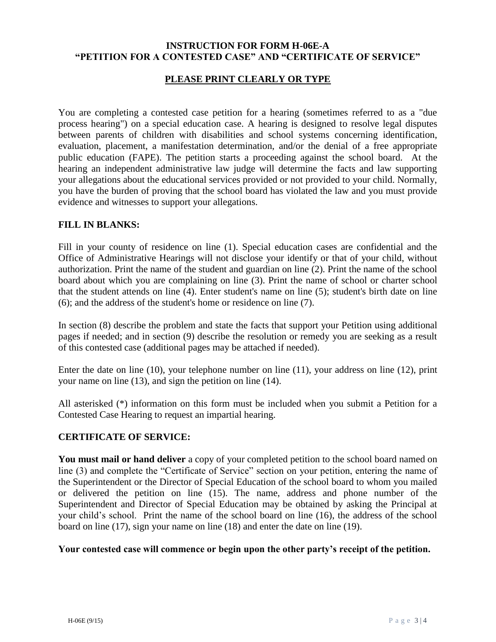## **INSTRUCTION FOR FORM H-06E-A "PETITION FOR A CONTESTED CASE" AND "CERTIFICATE OF SERVICE"**

## **PLEASE PRINT CLEARLY OR TYPE**

You are completing a contested case petition for a hearing (sometimes referred to as a "due process hearing") on a special education case. A hearing is designed to resolve legal disputes between parents of children with disabilities and school systems concerning identification, evaluation, placement, a manifestation determination, and/or the denial of a free appropriate public education (FAPE). The petition starts a proceeding against the school board. At the hearing an independent administrative law judge will determine the facts and law supporting your allegations about the educational services provided or not provided to your child. Normally, you have the burden of proving that the school board has violated the law and you must provide evidence and witnesses to support your allegations.

### **FILL IN BLANKS:**

Fill in your county of residence on line (1). Special education cases are confidential and the Office of Administrative Hearings will not disclose your identify or that of your child, without authorization. Print the name of the student and guardian on line (2). Print the name of the school board about which you are complaining on line (3). Print the name of school or charter school that the student attends on line (4). Enter student's name on line (5); student's birth date on line (6); and the address of the student's home or residence on line (7).

In section (8) describe the problem and state the facts that support your Petition using additional pages if needed; and in section (9) describe the resolution or remedy you are seeking as a result of this contested case (additional pages may be attached if needed).

Enter the date on line (10), your telephone number on line (11), your address on line (12), print your name on line (13), and sign the petition on line (14).

All asterisked (\*) information on this form must be included when you submit a Petition for a Contested Case Hearing to request an impartial hearing.

# **CERTIFICATE OF SERVICE:**

You must mail or hand deliver a copy of your completed petition to the school board named on line (3) and complete the "Certificate of Service" section on your petition, entering the name of the Superintendent or the Director of Special Education of the school board to whom you mailed or delivered the petition on line (15). The name, address and phone number of the Superintendent and Director of Special Education may be obtained by asking the Principal at your child's school. Print the name of the school board on line (16), the address of the school board on line (17), sign your name on line (18) and enter the date on line (19).

## **Your contested case will commence or begin upon the other party's receipt of the petition.**